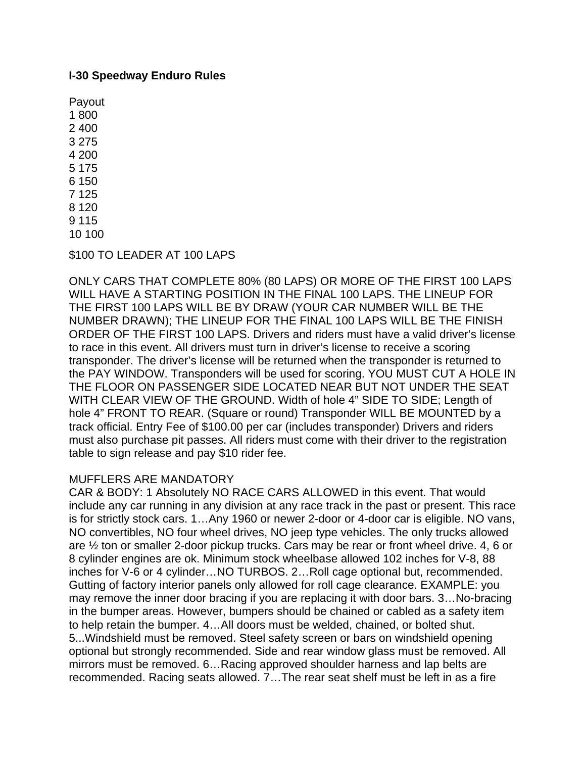## **I-30 Speedway Enduro Rules**

\$100 TO LEADER AT 100 LAPS

ONLY CARS THAT COMPLETE 80% (80 LAPS) OR MORE OF THE FIRST 100 LAPS WILL HAVE A STARTING POSITION IN THE FINAL 100 LAPS. THE LINEUP FOR THE FIRST 100 LAPS WILL BE BY DRAW (YOUR CAR NUMBER WILL BE THE NUMBER DRAWN); THE LINEUP FOR THE FINAL 100 LAPS WILL BE THE FINISH ORDER OF THE FIRST 100 LAPS. Drivers and riders must have a valid driver's license to race in this event. All drivers must turn in driver's license to receive a scoring transponder. The driver's license will be returned when the transponder is returned to the PAY WINDOW. Transponders will be used for scoring. YOU MUST CUT A HOLE IN THE FLOOR ON PASSENGER SIDE LOCATED NEAR BUT NOT UNDER THE SEAT WITH CLEAR VIEW OF THE GROUND. Width of hole 4" SIDE TO SIDE; Length of hole 4" FRONT TO REAR. (Square or round) Transponder WILL BE MOUNTED by a track official. Entry Fee of \$100.00 per car (includes transponder) Drivers and riders must also purchase pit passes. All riders must come with their driver to the registration table to sign release and pay \$10 rider fee.

## MUFFLERS ARE MANDATORY

CAR & BODY: 1 Absolutely NO RACE CARS ALLOWED in this event. That would include any car running in any division at any race track in the past or present. This race is for strictly stock cars. 1…Any 1960 or newer 2-door or 4-door car is eligible. NO vans, NO convertibles, NO four wheel drives, NO jeep type vehicles. The only trucks allowed are ½ ton or smaller 2-door pickup trucks. Cars may be rear or front wheel drive. 4, 6 or 8 cylinder engines are ok. Minimum stock wheelbase allowed 102 inches for V-8, 88 inches for V-6 or 4 cylinder…NO TURBOS. 2…Roll cage optional but, recommended. Gutting of factory interior panels only allowed for roll cage clearance. EXAMPLE: you may remove the inner door bracing if you are replacing it with door bars. 3…No-bracing in the bumper areas. However, bumpers should be chained or cabled as a safety item to help retain the bumper. 4…All doors must be welded, chained, or bolted shut. 5...Windshield must be removed. Steel safety screen or bars on windshield opening optional but strongly recommended. Side and rear window glass must be removed. All mirrors must be removed. 6…Racing approved shoulder harness and lap belts are recommended. Racing seats allowed. 7…The rear seat shelf must be left in as a fire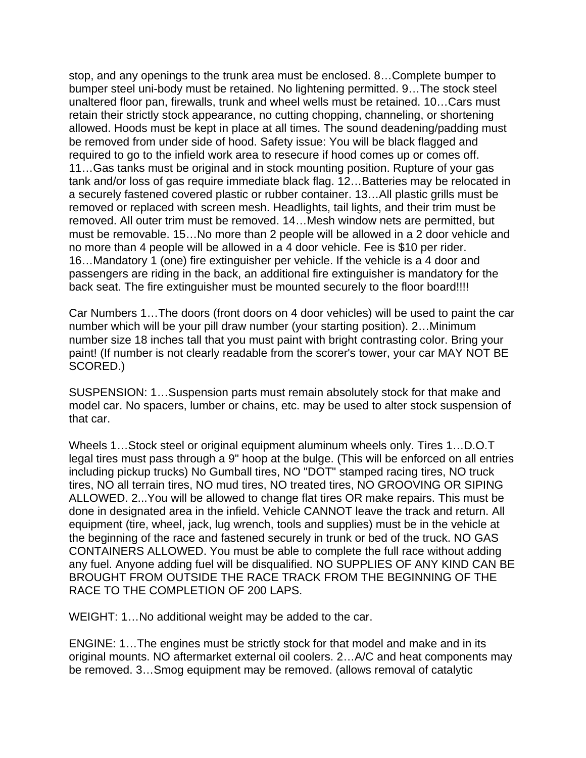stop, and any openings to the trunk area must be enclosed. 8…Complete bumper to bumper steel uni-body must be retained. No lightening permitted. 9…The stock steel unaltered floor pan, firewalls, trunk and wheel wells must be retained. 10…Cars must retain their strictly stock appearance, no cutting chopping, channeling, or shortening allowed. Hoods must be kept in place at all times. The sound deadening/padding must be removed from under side of hood. Safety issue: You will be black flagged and required to go to the infield work area to resecure if hood comes up or comes off. 11…Gas tanks must be original and in stock mounting position. Rupture of your gas tank and/or loss of gas require immediate black flag. 12…Batteries may be relocated in a securely fastened covered plastic or rubber container. 13…All plastic grills must be removed or replaced with screen mesh. Headlights, tail lights, and their trim must be removed. All outer trim must be removed. 14…Mesh window nets are permitted, but must be removable. 15…No more than 2 people will be allowed in a 2 door vehicle and no more than 4 people will be allowed in a 4 door vehicle. Fee is \$10 per rider. 16…Mandatory 1 (one) fire extinguisher per vehicle. If the vehicle is a 4 door and passengers are riding in the back, an additional fire extinguisher is mandatory for the back seat. The fire extinguisher must be mounted securely to the floor board!!!!

Car Numbers 1…The doors (front doors on 4 door vehicles) will be used to paint the car number which will be your pill draw number (your starting position). 2…Minimum number size 18 inches tall that you must paint with bright contrasting color. Bring your paint! (If number is not clearly readable from the scorer's tower, your car MAY NOT BE SCORED.)

SUSPENSION: 1…Suspension parts must remain absolutely stock for that make and model car. No spacers, lumber or chains, etc. may be used to alter stock suspension of that car.

Wheels 1…Stock steel or original equipment aluminum wheels only. Tires 1…D.O.T legal tires must pass through a 9" hoop at the bulge. (This will be enforced on all entries including pickup trucks) No Gumball tires, NO "DOT" stamped racing tires, NO truck tires, NO all terrain tires, NO mud tires, NO treated tires, NO GROOVING OR SIPING ALLOWED. 2...You will be allowed to change flat tires OR make repairs. This must be done in designated area in the infield. Vehicle CANNOT leave the track and return. All equipment (tire, wheel, jack, lug wrench, tools and supplies) must be in the vehicle at the beginning of the race and fastened securely in trunk or bed of the truck. NO GAS CONTAINERS ALLOWED. You must be able to complete the full race without adding any fuel. Anyone adding fuel will be disqualified. NO SUPPLIES OF ANY KIND CAN BE BROUGHT FROM OUTSIDE THE RACE TRACK FROM THE BEGINNING OF THE RACE TO THE COMPLETION OF 200 LAPS.

WEIGHT: 1…No additional weight may be added to the car.

ENGINE: 1…The engines must be strictly stock for that model and make and in its original mounts. NO aftermarket external oil coolers. 2…A/C and heat components may be removed. 3…Smog equipment may be removed. (allows removal of catalytic